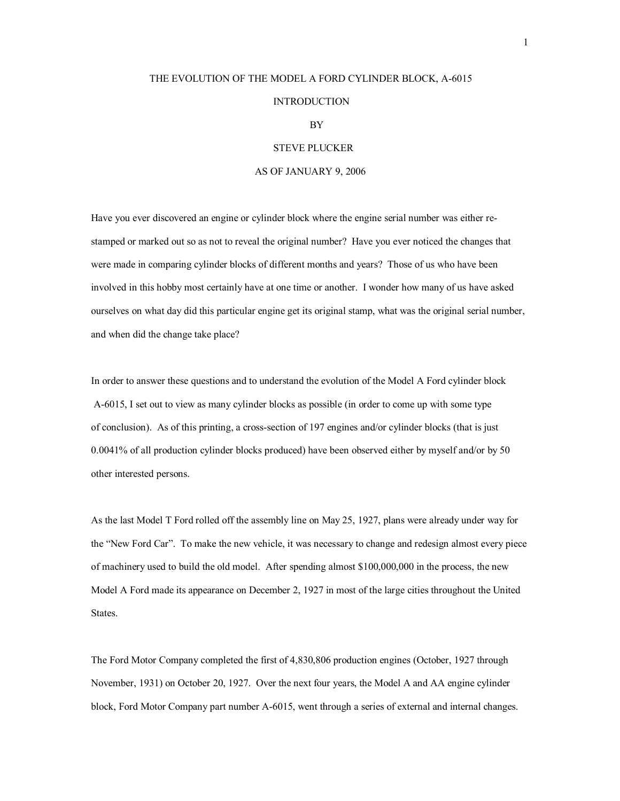## THE EVOLUTION OF THE MODEL A FORD CYLINDER BLOCK, A-6015 **INTRODUCTION** BY

## STEVE PLUCKER

## AS OF JANUARY 9, 2006

Have you ever discovered an engine or cylinder block where the engine serial number was either restamped or marked out so as not to reveal the original number? Have you ever noticed the changes that were made in comparing cylinder blocks of different months and years? Those of us who have been involved in this hobby most certainly have at one time or another. I wonder how many of us have asked ourselves on what day did this particular engine get its original stamp, what was the original serial number, and when did the change take place?

In order to answer these questions and to understand the evolution of the Model A Ford cylinder block A-6015, I set out to view as many cylinder blocks as possible (in order to come up with some type of conclusion). As of this printing, a cross-section of 197 engines and/or cylinder blocks (that is just 0.0041% of all production cylinder blocks produced) have been observed either by myself and/or by 50 other interested persons.

As the last Model T Ford rolled off the assembly line on May 25, 1927, plans were already under way for the "New Ford Car". To make the new vehicle, it was necessary to change and redesign almost every piece of machinery used to build the old model. After spending almost \$100,000,000 in the process, the new Model A Ford made its appearance on December 2, 1927 in most of the large cities throughout the United States.

The Ford Motor Company completed the first of 4,830,806 production engines (October, 1927 through November, 1931) on October 20, 1927. Over the next four years, the Model A and AA engine cylinder block, Ford Motor Company part number A-6015, went through a series of external and internal changes.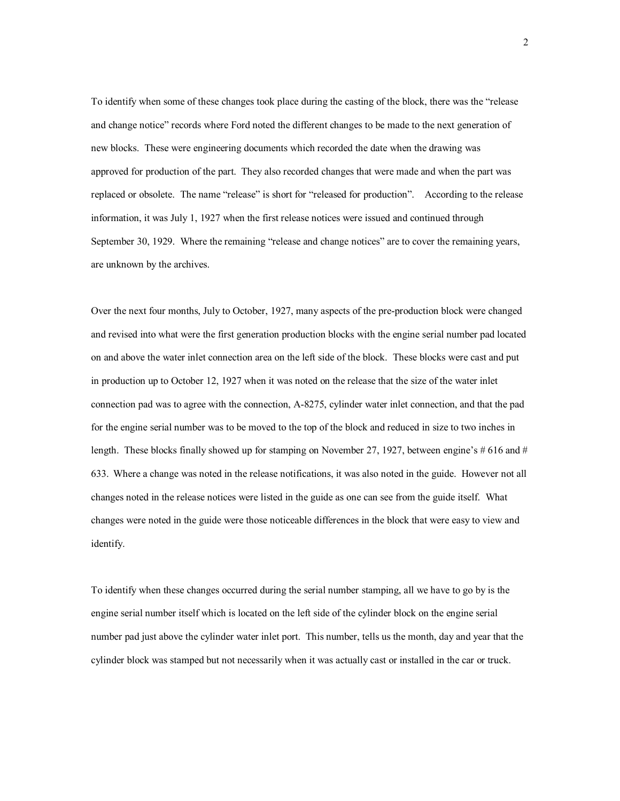To identify when some of these changes took place during the casting of the block, there was the "release and change notice" records where Ford noted the different changes to be made to the next generation of new blocks. These were engineering documents which recorded the date when the drawing was approved for production of the part. They also recorded changes that were made and when the part was replaced or obsolete. The name "release" is short for "released for production". According to the release information, it was July 1, 1927 when the first release notices were issued and continued through September 30, 1929. Where the remaining "release and change notices" are to cover the remaining years, are unknown by the archives.

Over the next four months, July to October, 1927, many aspects of the pre-production block were changed and revised into what were the first generation production blocks with the engine serial number pad located on and above the water inlet connection area on the left side of the block. These blocks were cast and put in production up to October 12, 1927 when it was noted on the release that the size of the water inlet connection pad was to agree with the connection, A-8275, cylinder water inlet connection, and that the pad for the engine serial number was to be moved to the top of the block and reduced in size to two inches in length. These blocks finally showed up for stamping on November 27, 1927, between engine's # 616 and # 633. Where a change was noted in the release notifications, it was also noted in the guide. However not all changes noted in the release notices were listed in the guide as one can see from the guide itself. What changes were noted in the guide were those noticeable differences in the block that were easy to view and identify.

To identify when these changes occurred during the serial number stamping, all we have to go by is the engine serial number itself which is located on the left side of the cylinder block on the engine serial number pad just above the cylinder water inlet port. This number, tells us the month, day and year that the cylinder block was stamped but not necessarily when it was actually cast or installed in the car or truck.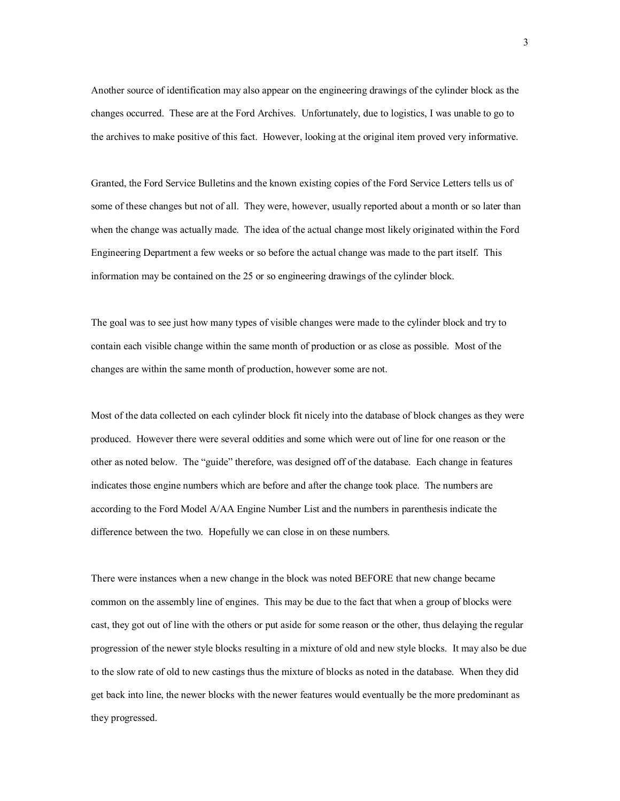Another source of identification may also appear on the engineering drawings of the cylinder block as the changes occurred. These are at the Ford Archives. Unfortunately, due to logistics, I was unable to go to the archives to make positive of this fact. However, looking at the original item proved very informative.

Granted, the Ford Service Bulletins and the known existing copies of the Ford Service Letters tells us of some of these changes but not of all. They were, however, usually reported about a month or so later than when the change was actually made. The idea of the actual change most likely originated within the Ford Engineering Department a few weeks or so before the actual change was made to the part itself. This information may be contained on the 25 or so engineering drawings of the cylinder block.

The goal was to see just how many types of visible changes were made to the cylinder block and try to contain each visible change within the same month of production or as close as possible. Most of the changes are within the same month of production, however some are not.

Most of the data collected on each cylinder block fit nicely into the database of block changes as they were produced. However there were several oddities and some which were out of line for one reason or the other as noted below. The "guide" therefore, was designed off of the database. Each change in features indicates those engine numbers which are before and after the change took place. The numbers are according to the Ford Model A/AA Engine Number List and the numbers in parenthesis indicate the difference between the two. Hopefully we can close in on these numbers.

There were instances when a new change in the block was noted BEFORE that new change became common on the assembly line of engines. This may be due to the fact that when a group of blocks were cast, they got out of line with the others or put aside for some reason or the other, thus delaying the regular progression of the newer style blocks resulting in a mixture of old and new style blocks. It may also be due to the slow rate of old to new castings thus the mixture of blocks as noted in the database. When they did get back into line, the newer blocks with the newer features would eventually be the more predominant as they progressed.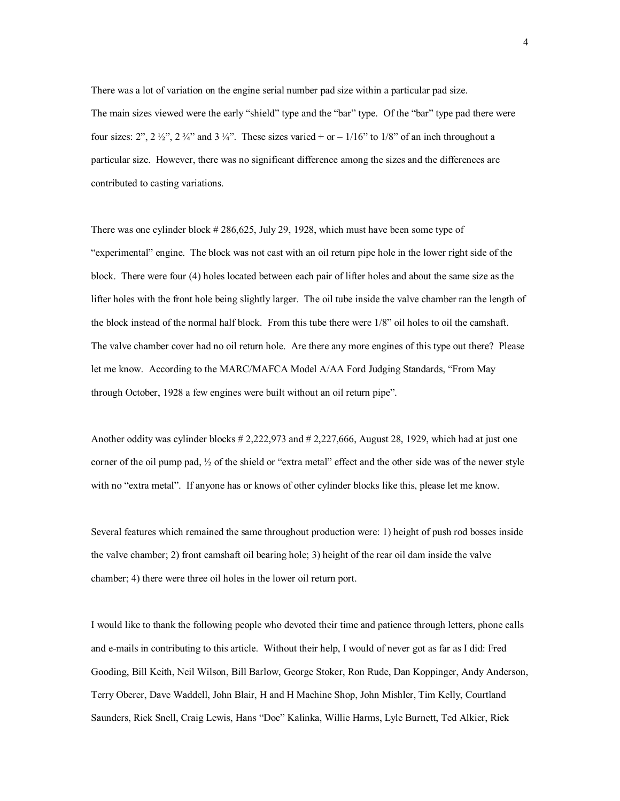There was a lot of variation on the engine serial number pad size within a particular pad size. The main sizes viewed were the early "shield" type and the "bar" type. Of the "bar" type pad there were four sizes:  $2^{\prime\prime}, 2^{\prime}2^{\prime\prime}, 2^{\prime}4^{\prime\prime}$  and  $3^{\prime}4^{\prime\prime}$ . These sizes varied + or –  $1/16^{\prime\prime}$  to  $1/8^{\prime\prime}$  of an inch throughout a particular size. However, there was no significant difference among the sizes and the differences are contributed to casting variations.

There was one cylinder block # 286,625, July 29, 1928, which must have been some type of "experimental" engine. The block was not cast with an oil return pipe hole in the lower right side of the block. There were four (4) holes located between each pair of lifter holes and about the same size as the lifter holes with the front hole being slightly larger. The oil tube inside the valve chamber ran the length of the block instead of the normal half block. From this tube there were 1/8" oil holes to oil the camshaft. The valve chamber cover had no oil return hole. Are there any more engines of this type out there? Please let me know. According to the MARC/MAFCA Model A/AA Ford Judging Standards, "From May through October, 1928 a few engines were built without an oil return pipe".

Another oddity was cylinder blocks # 2,222,973 and # 2,227,666, August 28, 1929, which had at just one corner of the oil pump pad, ½ of the shield or "extra metal" effect and the other side was of the newer style with no "extra metal". If anyone has or knows of other cylinder blocks like this, please let me know.

Several features which remained the same throughout production were: 1) height of push rod bosses inside the valve chamber; 2) front camshaft oil bearing hole; 3) height of the rear oil dam inside the valve chamber; 4) there were three oil holes in the lower oil return port.

I would like to thank the following people who devoted their time and patience through letters, phone calls and e-mails in contributing to this article. Without their help, I would of never got as far as I did: Fred Gooding, Bill Keith, Neil Wilson, Bill Barlow, George Stoker, Ron Rude, Dan Koppinger, Andy Anderson, Terry Oberer, Dave Waddell, John Blair, H and H Machine Shop, John Mishler, Tim Kelly, Courtland Saunders, Rick Snell, Craig Lewis, Hans "Doc" Kalinka, Willie Harms, Lyle Burnett, Ted Alkier, Rick